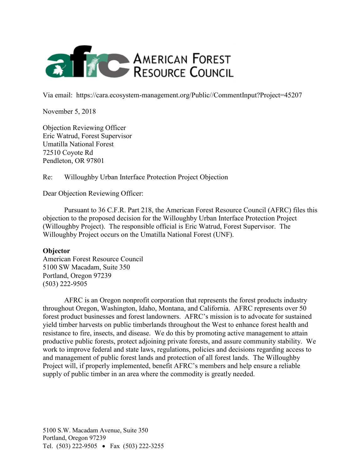

Via email: https://cara.ecosystem-management.org/Public//CommentInput?Project=45207

November 5, 2018

Objection Reviewing Officer Eric Watrud, Forest Supervisor Umatilla National Forest 72510 Coyote Rd Pendleton, OR 97801

Re: Willoughby Urban Interface Protection Project Objection

Dear Objection Reviewing Officer:

Pursuant to 36 C.F.R. Part 218, the American Forest Resource Council (AFRC) files this objection to the proposed decision for the Willoughby Urban Interface Protection Project (Willoughby Project). The responsible official is Eric Watrud, Forest Supervisor. The Willoughby Project occurs on the Umatilla National Forest (UNF).

## **Objector**

American Forest Resource Council 5100 SW Macadam, Suite 350 Portland, Oregon 97239 (503) 222-9505

AFRC is an Oregon nonprofit corporation that represents the forest products industry throughout Oregon, Washington, Idaho, Montana, and California. AFRC represents over 50 forest product businesses and forest landowners. AFRC's mission is to advocate for sustained yield timber harvests on public timberlands throughout the West to enhance forest health and resistance to fire, insects, and disease. We do this by promoting active management to attain productive public forests, protect adjoining private forests, and assure community stability. We work to improve federal and state laws, regulations, policies and decisions regarding access to and management of public forest lands and protection of all forest lands. The Willoughby Project will, if properly implemented, benefit AFRC's members and help ensure a reliable supply of public timber in an area where the commodity is greatly needed.

5100 S.W. Macadam Avenue, Suite 350 Portland, Oregon 97239 Tel. (503) 222-9505 • Fax (503) 222-3255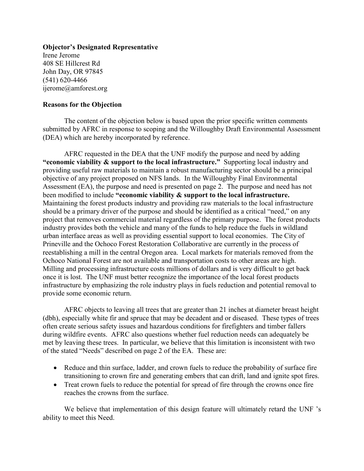**Objector's Designated Representative** Irene Jerome 408 SE Hillcrest Rd John Day, OR 97845 (541) 620-4466 ijerome@amforest.org

## **Reasons for the Objection**

The content of the objection below is based upon the prior specific written comments submitted by AFRC in response to scoping and the Willoughby Draft Environmental Assessment (DEA) which are hereby incorporated by reference.

AFRC requested in the DEA that the UNF modify the purpose and need by adding **"economic viability & support to the local infrastructure."** Supporting local industry and providing useful raw materials to maintain a robust manufacturing sector should be a principal objective of any project proposed on NFS lands. In the Willoughby Final Environmental Assessment (EA), the purpose and need is presented on page 2. The purpose and need has not been modified to include **"economic viability & support to the local infrastructure.** Maintaining the forest products industry and providing raw materials to the local infrastructure should be a primary driver of the purpose and should be identified as a critical "need," on any project that removes commercial material regardless of the primary purpose. The forest products industry provides both the vehicle and many of the funds to help reduce the fuels in wildland urban interface areas as well as providing essential support to local economies. The City of Prineville and the Ochoco Forest Restoration Collaborative are currently in the process of reestablishing a mill in the central Oregon area. Local markets for materials removed from the Ochoco National Forest are not available and transportation costs to other areas are high. Milling and processing infrastructure costs millions of dollars and is very difficult to get back once it is lost. The UNF must better recognize the importance of the local forest products infrastructure by emphasizing the role industry plays in fuels reduction and potential removal to provide some economic return.

AFRC objects to leaving all trees that are greater than 21 inches at diameter breast height (dbh), especially white fir and spruce that may be decadent and or diseased. These types of trees often create serious safety issues and hazardous conditions for firefighters and timber fallers during wildfire events. AFRC also questions whether fuel reduction needs can adequately be met by leaving these trees. In particular, we believe that this limitation is inconsistent with two of the stated "Needs" described on page 2 of the EA. These are:

- Reduce and thin surface, ladder, and crown fuels to reduce the probability of surface fire transitioning to crown fire and generating embers that can drift, land and ignite spot fires.
- Treat crown fuels to reduce the potential for spread of fire through the crowns once fire reaches the crowns from the surface.

We believe that implementation of this design feature will ultimately retard the UNF 's ability to meet this Need.